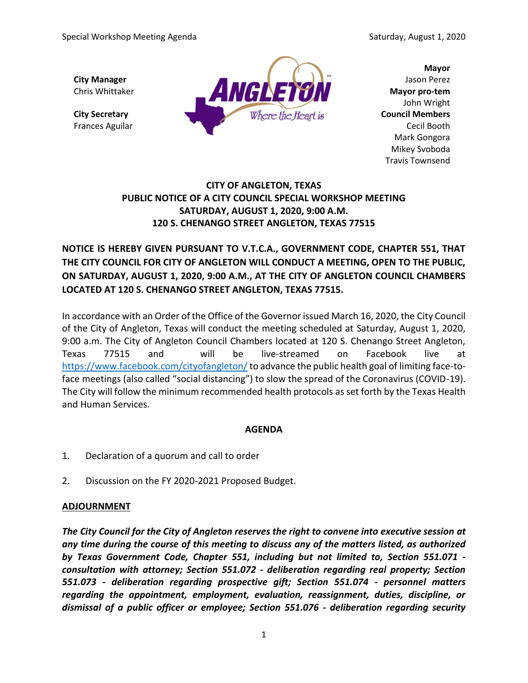

**Mayor** John Wright Mark Gongora Mikey Svoboda Travis Townsend

# **CITY OF ANGLETON, TEXAS PUBLIC NOTICE OF A CITY COUNCIL SPECIAL WORKSHOP MEETING SATURDAY, AUGUST 1, 2020, 9:00 A.M. 120 S. CHENANGO STREET ANGLETON, TEXAS 77515**

**NOTICE IS HEREBY GIVEN PURSUANT TO V.T.C.A., GOVERNMENT CODE, CHAPTER 551, THAT THE CITY COUNCIL FOR CITY OF ANGLETON WILL CONDUCT A MEETING, OPEN TO THE PUBLIC, ON SATURDAY, AUGUST 1, 2020, 9:00 A.M., AT THE CITY OF ANGLETON COUNCIL CHAMBERS LOCATED AT 120 S. CHENANGO STREET ANGLETON, TEXAS 77515.**

In accordance with an Order of the Office of the Governor issued March 16, 2020, the City Council of the City of Angleton, Texas will conduct the meeting scheduled at Saturday, August 1, 2020, 9:00 a.m. The City of Angleton Council Chambers located at 120 S. Chenango Street Angleton, Texas 77515 and will be live-streamed on Facebook live at <https://www.facebook.com/cityofangleton/> to advance the public health goal of limiting face-toface meetings (also called "social distancing") to slow the spread of the Coronavirus (COVID-19). The City will follow the minimum recommended health protocols as set forth by the Texas Health and Human Services.

## **AGENDA**

- 1. Declaration of a quorum and call to order
- 2. Discussion on the FY 2020-2021 Proposed Budget.

#### **ADJOURNMENT**

*The City Council for the City of Angleton reserves the right to convene into executive session at any time during the course of this meeting to discuss any of the matters listed, as authorized by Texas Government Code, Chapter 551, including but not limited to, Section 551.071 consultation with attorney; Section 551.072 - deliberation regarding real property; Section 551.073 - deliberation regarding prospective gift; Section 551.074 - personnel matters regarding the appointment, employment, evaluation, reassignment, duties, discipline, or dismissal of a public officer or employee; Section 551.076 - deliberation regarding security*